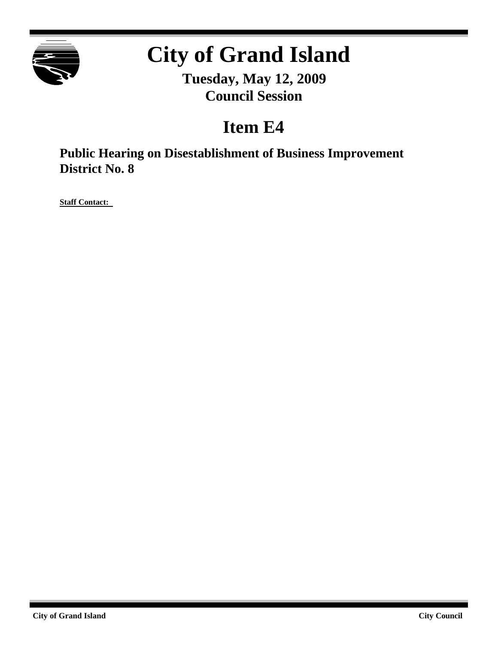

# **City of Grand Island**

**Tuesday, May 12, 2009 Council Session**

# **Item E4**

**Public Hearing on Disestablishment of Business Improvement District No. 8**

**Staff Contact:**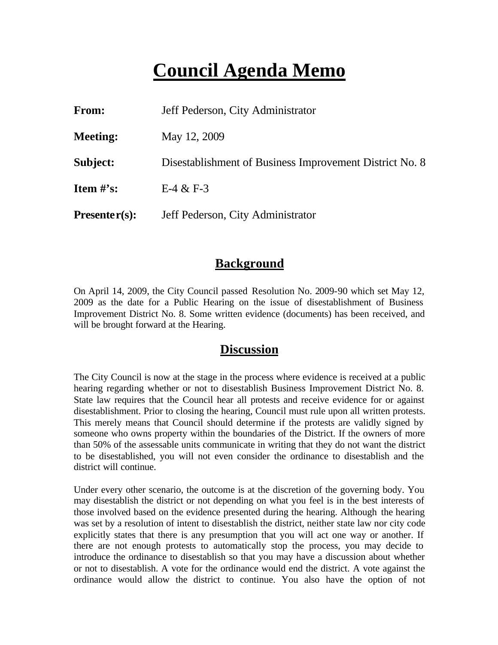# **Council Agenda Memo**

| From:           | Jeff Pederson, City Administrator                       |
|-----------------|---------------------------------------------------------|
| <b>Meeting:</b> | May 12, 2009                                            |
| Subject:        | Disestablishment of Business Improvement District No. 8 |
| Item $\#$ 's:   | $E-4 & E-3$                                             |
| $Presenter(s):$ | Jeff Pederson, City Administrator                       |

#### **Background**

On April 14, 2009, the City Council passed Resolution No. 2009-90 which set May 12, 2009 as the date for a Public Hearing on the issue of disestablishment of Business Improvement District No. 8. Some written evidence (documents) has been received, and will be brought forward at the Hearing.

#### **Discussion**

The City Council is now at the stage in the process where evidence is received at a public hearing regarding whether or not to disestablish Business Improvement District No. 8. State law requires that the Council hear all protests and receive evidence for or against disestablishment. Prior to closing the hearing, Council must rule upon all written protests. This merely means that Council should determine if the protests are validly signed by someone who owns property within the boundaries of the District. If the owners of more than 50% of the assessable units communicate in writing that they do not want the district to be disestablished, you will not even consider the ordinance to disestablish and the district will continue.

Under every other scenario, the outcome is at the discretion of the governing body. You may disestablish the district or not depending on what you feel is in the best interests of those involved based on the evidence presented during the hearing. Although the hearing was set by a resolution of intent to disestablish the district, neither state law nor city code explicitly states that there is any presumption that you will act one way or another. If there are not enough protests to automatically stop the process, you may decide to introduce the ordinance to disestablish so that you may have a discussion about whether or not to disestablish. A vote for the ordinance would end the district. A vote against the ordinance would allow the district to continue. You also have the option of not